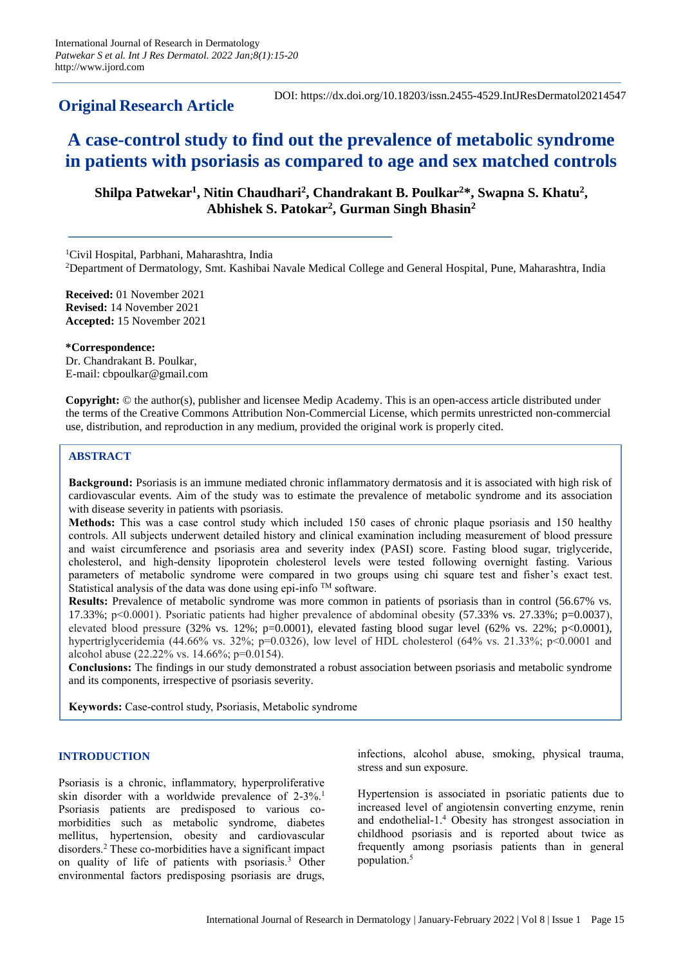# **Original Research Article**

# **A case-control study to find out the prevalence of metabolic syndrome in patients with psoriasis as compared to age and sex matched controls**

Shilpa Patwekar<sup>1</sup>, Nitin Chaudhari<sup>2</sup>, Chandrakant B. Poulkar<sup>2\*</sup>, Swapna S. Khatu<sup>2</sup>, **Abhishek S. Patokar<sup>2</sup> , Gurman Singh Bhasin<sup>2</sup>**

<sup>1</sup>Civil Hospital, Parbhani, Maharashtra, India

<sup>2</sup>Department of Dermatology, Smt. Kashibai Navale Medical College and General Hospital, Pune, Maharashtra, India

**Received:** 01 November 2021 **Revised:** 14 November 2021 **Accepted:** 15 November 2021

**\*Correspondence:** Dr. Chandrakant B. Poulkar, E-mail: cbpoulkar@gmail.com

**Copyright:** © the author(s), publisher and licensee Medip Academy. This is an open-access article distributed under the terms of the Creative Commons Attribution Non-Commercial License, which permits unrestricted non-commercial use, distribution, and reproduction in any medium, provided the original work is properly cited.

#### **ABSTRACT**

**Background:** Psoriasis is an immune mediated chronic inflammatory dermatosis and it is associated with high risk of cardiovascular events. Aim of the study was to estimate the prevalence of metabolic syndrome and its association with disease severity in patients with psoriasis.

**Methods:** This was a case control study which included 150 cases of chronic plaque psoriasis and 150 healthy controls. All subjects underwent detailed history and clinical examination including measurement of blood pressure and waist circumference and psoriasis area and severity index (PASI) score. Fasting blood sugar, triglyceride, cholesterol, and high-density lipoprotein cholesterol levels were tested following overnight fasting. Various parameters of metabolic syndrome were compared in two groups using chi square test and fisher's exact test. Statistical analysis of the data was done using epi-info TM software.

**Results:** Prevalence of metabolic syndrome was more common in patients of psoriasis than in control (56.67% vs. 17.33%; p<0.0001). Psoriatic patients had higher prevalence of abdominal obesity  $(57.33\% \text{ vs. } 27.33\%; \text{p=0.0037})$ , elevated blood pressure  $(32\% \text{ vs. } 12\%; \text{ p=0.0001})$ , elevated fasting blood sugar level  $(62\% \text{ vs. } 22\%; \text{ p<0.0001})$ , hypertriglyceridemia (44.66% vs. 32%; p=0.0326), low level of HDL cholesterol (64% vs. 21.33%; p<0.0001 and alcohol abuse (22.22% vs. 14.66%; p=0.0154).

**Conclusions:** The findings in our study demonstrated a robust association between psoriasis and metabolic syndrome and its components, irrespective of psoriasis severity.

**Keywords:** Case-control study, Psoriasis, Metabolic syndrome

#### **INTRODUCTION**

Psoriasis is a chronic, inflammatory, hyperproliferative skin disorder with a worldwide prevalence of 2-3%.<sup>1</sup> Psoriasis patients are predisposed to various comorbidities such as metabolic syndrome, diabetes mellitus, hypertension, obesity and cardiovascular disorders.<sup>2</sup> These co-morbidities have a significant impact on quality of life of patients with psoriasis.<sup>3</sup> Other environmental factors predisposing psoriasis are drugs,

infections, alcohol abuse, smoking, physical trauma, stress and sun exposure.

Hypertension is associated in psoriatic patients due to increased level of angiotensin converting enzyme, renin and endothelial-1.<sup>4</sup> Obesity has strongest association in childhood psoriasis and is reported about twice as frequently among psoriasis patients than in general population.<sup>5</sup>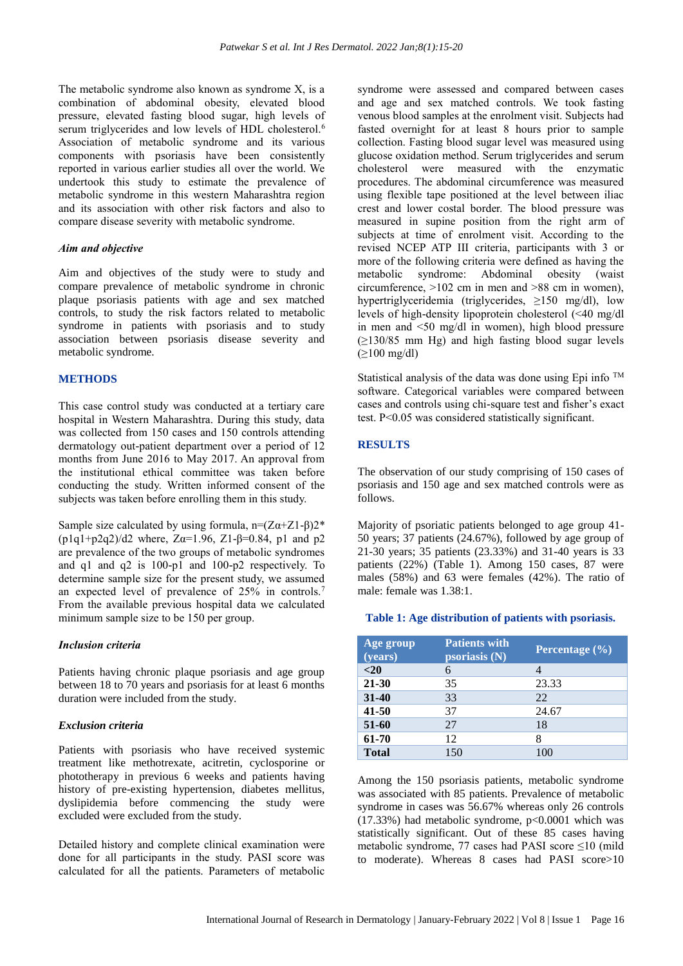The metabolic syndrome also known as syndrome X, is a combination of abdominal obesity, elevated blood pressure, elevated fasting blood sugar, high levels of serum triglycerides and low levels of HDL cholesterol.<sup>6</sup> Association of metabolic syndrome and its various components with psoriasis have been consistently reported in various earlier studies all over the world. We undertook this study to estimate the prevalence of metabolic syndrome in this western Maharashtra region and its association with other risk factors and also to compare disease severity with metabolic syndrome.

# *Aim and objective*

Aim and objectives of the study were to study and compare prevalence of metabolic syndrome in chronic plaque psoriasis patients with age and sex matched controls, to study the risk factors related to metabolic syndrome in patients with psoriasis and to study association between psoriasis disease severity and metabolic syndrome.

# **METHODS**

This case control study was conducted at a tertiary care hospital in Western Maharashtra. During this study, data was collected from 150 cases and 150 controls attending dermatology out-patient department over a period of 12 months from June 2016 to May 2017. An approval from the institutional ethical committee was taken before conducting the study. Written informed consent of the subjects was taken before enrolling them in this study.

Sample size calculated by using formula,  $n=(Z\alpha+Z1-\beta)2^*$ (p1q1+p2q2)/d2 where,  $Z\alpha=1.96$ ,  $Z1-\beta=0.84$ , p1 and p2 are prevalence of the two groups of metabolic syndromes and q1 and q2 is 100-p1 and 100-p2 respectively. To determine sample size for the present study, we assumed an expected level of prevalence of 25% in controls.<sup>7</sup> From the available previous hospital data we calculated minimum sample size to be 150 per group.

# *Inclusion criteria*

Patients having chronic plaque psoriasis and age group between 18 to 70 years and psoriasis for at least 6 months duration were included from the study.

# *Exclusion criteria*

Patients with psoriasis who have received systemic treatment like methotrexate, acitretin, cyclosporine or phototherapy in previous 6 weeks and patients having history of pre-existing hypertension, diabetes mellitus, dyslipidemia before commencing the study were excluded were excluded from the study.

Detailed history and complete clinical examination were done for all participants in the study. PASI score was calculated for all the patients. Parameters of metabolic syndrome were assessed and compared between cases and age and sex matched controls. We took fasting venous blood samples at the enrolment visit. Subjects had fasted overnight for at least 8 hours prior to sample collection. Fasting blood sugar level was measured using glucose oxidation method. Serum triglycerides and serum cholesterol were measured with the enzymatic procedures. The abdominal circumference was measured using flexible tape positioned at the level between iliac crest and lower costal border. The blood pressure was measured in supine position from the right arm of subjects at time of enrolment visit. According to the revised NCEP ATP III criteria, participants with 3 or more of the following criteria were defined as having the metabolic syndrome: Abdominal obesity (waist circumference, >102 cm in men and >88 cm in women), hypertriglyceridemia (triglycerides, ≥150 mg/dl), low levels of high-density lipoprotein cholesterol (<40 mg/dl in men and <50 mg/dl in women), high blood pressure (≥130/85 mm Hg) and high fasting blood sugar levels (≥100 mg/dl)

Statistical analysis of the data was done using Epi info TM software. Categorical variables were compared between cases and controls using chi-square test and fisher's exact test. P<0.05 was considered statistically significant.

# **RESULTS**

The observation of our study comprising of 150 cases of psoriasis and 150 age and sex matched controls were as follows.

Majority of psoriatic patients belonged to age group 41- 50 years; 37 patients (24.67%), followed by age group of 21-30 years; 35 patients (23.33%) and 31-40 years is 33 patients (22%) (Table 1). Among 150 cases, 87 were males (58%) and 63 were females (42%). The ratio of male: female was 1.38:1.

#### **Table 1: Age distribution of patients with psoriasis.**

| Age group<br>(years) | <b>Patients with</b><br>psoriasis $(N)$ | Percentage $(\% )$ |
|----------------------|-----------------------------------------|--------------------|
| $20$                 | 6                                       |                    |
| $21 - 30$            | 35                                      | 23.33              |
| $31 - 40$            | 33                                      | 22                 |
| $41 - 50$            | 37                                      | 24.67              |
| $51 - 60$            | 27                                      | 18                 |
| 61-70                | 12                                      | 8                  |
| <b>Total</b>         | 150                                     | 100                |

Among the 150 psoriasis patients, metabolic syndrome was associated with 85 patients. Prevalence of metabolic syndrome in cases was 56.67% whereas only 26 controls  $(17.33%)$  had metabolic syndrome,  $p<0.0001$  which was statistically significant. Out of these 85 cases having metabolic syndrome, 77 cases had PASI score ≤10 (mild to moderate). Whereas 8 cases had PASI score>10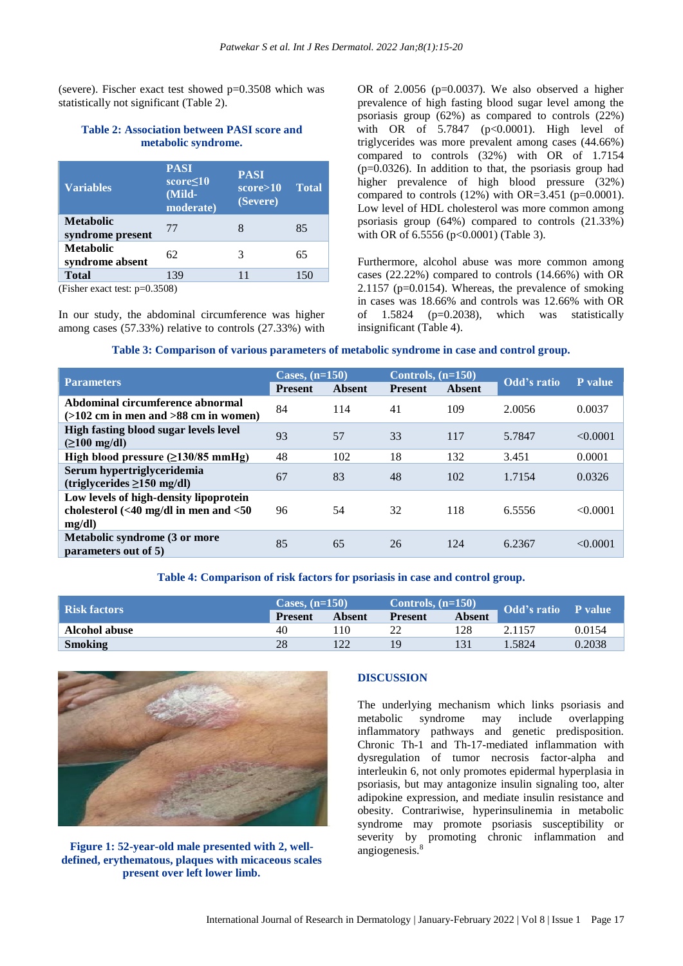(severe). Fischer exact test showed  $p=0.3508$  which was statistically not significant (Table 2).

# **Table 2: Association between PASI score and metabolic syndrome.**

| <b>Variables</b>                     | <b>PASI</b><br>$score \leq 10$<br>(Mild-<br>moderate) | <b>PASI</b><br>score>10<br>(Severe) | <b>Total</b> |
|--------------------------------------|-------------------------------------------------------|-------------------------------------|--------------|
| <b>Metabolic</b><br>syndrome present | 77                                                    | 8                                   | 85           |
| <b>Metabolic</b><br>syndrome absent  | 62                                                    | 3                                   | 65           |
| <b>Total</b>                         | 139                                                   | 11                                  |              |

(Fisher exact test: p=0.3508)

In our study, the abdominal circumference was higher among cases (57.33%) relative to controls (27.33%) with OR of  $2.0056$  ( $p=0.0037$ ). We also observed a higher prevalence of high fasting blood sugar level among the psoriasis group (62%) as compared to controls (22%) with OR of 5.7847 (p<0.0001). High level of triglycerides was more prevalent among cases (44.66%) compared to controls (32%) with OR of 1.7154 (p=0.0326). In addition to that, the psoriasis group had higher prevalence of high blood pressure (32%) compared to controls  $(12%)$  with OR=3.451 (p=0.0001). Low level of HDL cholesterol was more common among psoriasis group (64%) compared to controls (21.33%) with OR of 6.5556 (p<0.0001) (Table 3).

Furthermore, alcohol abuse was more common among cases (22.22%) compared to controls (14.66%) with OR 2.1157 (p=0.0154). Whereas, the prevalence of smoking in cases was 18.66% and controls was 12.66% with OR of 1.5824 (p=0.2038), which was statistically insignificant (Table 4).

#### **Table 3: Comparison of various parameters of metabolic syndrome in case and control group.**

|                                                                                                      | Cases, $(n=150)$ |        | Controls, $(n=150)$ |               |             |          |
|------------------------------------------------------------------------------------------------------|------------------|--------|---------------------|---------------|-------------|----------|
| <b>Parameters</b>                                                                                    | <b>Present</b>   | Absent | <b>Present</b>      | <b>Absent</b> | Odd's ratio | P value  |
| Abdominal circumference abnormal<br>$(>102$ cm in men and $>88$ cm in women)                         | 84               | 114    | 41                  | 109           | 2.0056      | 0.0037   |
| High fasting blood sugar levels level<br>$( \geq 100 \text{ mg/dl})$                                 | 93               | 57     | 33                  | 117           | 5.7847      | < 0.0001 |
| High blood pressure $(\geq 130/85 \text{ mmHg})$                                                     | 48               | 102    | 18                  | 132           | 3.451       | 0.0001   |
| Serum hypertriglyceridemia<br>$(triglycerides \geq 150 mg/dl)$                                       | 67               | 83     | 48                  | 102           | 1.7154      | 0.0326   |
| Low levels of high-density lipoprotein<br>cholesterol $\left( < 40$ mg/dl in men and $< 50$<br>mg/dl | 96               | 54     | 32                  | 118           | 6.5556      | < 0.0001 |
| Metabolic syndrome (3 or more<br>parameters out of 5)                                                | 85               | 65     | 26                  | 124           | 6.2367      | < 0.0001 |

# **Table 4: Comparison of risk factors for psoriasis in case and control group.**

| <b>Risk factors</b> | Cases, $(n=150)$ |        | Controls, $(n=150)$ |        |             |         |
|---------------------|------------------|--------|---------------------|--------|-------------|---------|
|                     | <b>Present</b>   | Absent | <b>Present</b>      | Absent | Odd's ratio | P value |
| Alcohol abuse       | 40               | 10     | າາ                  | 128    |             | 0.0154  |
| <b>Smoking</b>      | 28               |        | 19                  |        | .5824       | 0.2038  |



# **Figure 1: 52-year-old male presented with 2, welldefined, erythematous, plaques with micaceous scales present over left lower limb.**

#### **DISCUSSION**

The underlying mechanism which links psoriasis and metabolic syndrome may include overlapping inflammatory pathways and genetic predisposition. Chronic Th-1 and Th-17-mediated inflammation with dysregulation of tumor necrosis factor-alpha and interleukin 6, not only promotes epidermal hyperplasia in psoriasis, but may antagonize insulin signaling too, alter adipokine expression, and mediate insulin resistance and obesity. Contrariwise, hyperinsulinemia in metabolic syndrome may promote psoriasis susceptibility or severity by promoting chronic inflammation and angiogenesis. $8$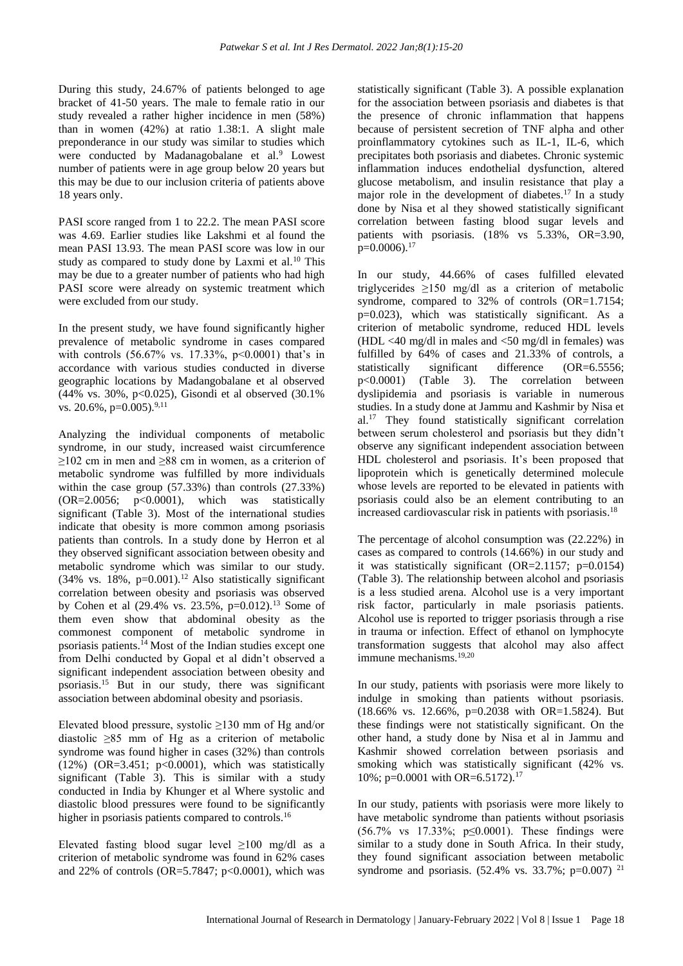During this study, 24.67% of patients belonged to age bracket of 41-50 years. The male to female ratio in our study revealed a rather higher incidence in men (58%) than in women (42%) at ratio 1.38:1. A slight male preponderance in our study was similar to studies which were conducted by Madanagobalane et al.<sup>9</sup> Lowest number of patients were in age group below 20 years but this may be due to our inclusion criteria of patients above 18 years only.

PASI score ranged from 1 to 22.2. The mean PASI score was 4.69. Earlier studies like Lakshmi et al found the mean PASI 13.93. The mean PASI score was low in our study as compared to study done by Laxmi et al.<sup>10</sup> This may be due to a greater number of patients who had high PASI score were already on systemic treatment which were excluded from our study.

In the present study, we have found significantly higher prevalence of metabolic syndrome in cases compared with controls (56.67% vs. 17.33%, p<0.0001) that's in accordance with various studies conducted in diverse geographic locations by Madangobalane et al observed (44% vs. 30%, p<0.025), Gisondi et al observed (30.1% vs. 20.6%, p=0.005).<sup>9,11</sup>

Analyzing the individual components of metabolic syndrome, in our study, increased waist circumference ≥102 cm in men and ≥88 cm in women, as a criterion of metabolic syndrome was fulfilled by more individuals within the case group (57.33%) than controls (27.33%) (OR=2.0056; p<0.0001), which was statistically significant (Table 3). Most of the international studies indicate that obesity is more common among psoriasis patients than controls. In a study done by Herron et al they observed significant association between obesity and metabolic syndrome which was similar to our study.  $(34\%$  vs.  $18\%$ ,  $p=0.001$ ).<sup>12</sup> Also statistically significant correlation between obesity and psoriasis was observed by Cohen et al  $(29.4\% \text{ vs. } 23.5\%, \text{ p=0.012}).^{13}$  Some of them even show that abdominal obesity as the commonest component of metabolic syndrome in psoriasis patients.<sup>14</sup> Most of the Indian studies except one from Delhi conducted by Gopal et al didn't observed a significant independent association between obesity and psoriasis.<sup>15</sup> But in our study, there was significant association between abdominal obesity and psoriasis.

Elevated blood pressure, systolic ≥130 mm of Hg and/or diastolic ≥85 mm of Hg as a criterion of metabolic syndrome was found higher in cases (32%) than controls (12%) (OR=3.451; p<0.0001), which was statistically significant (Table 3). This is similar with a study conducted in India by Khunger et al Where systolic and diastolic blood pressures were found to be significantly higher in psoriasis patients compared to controls.<sup>16</sup>

Elevated fasting blood sugar level  $\geq 100$  mg/dl as a criterion of metabolic syndrome was found in 62% cases and 22% of controls (OR=5.7847; p<0.0001), which was

statistically significant (Table 3). A possible explanation for the association between psoriasis and diabetes is that the presence of chronic inflammation that happens because of persistent secretion of TNF alpha and other proinflammatory cytokines such as IL-1, IL-6, which precipitates both psoriasis and diabetes. Chronic systemic inflammation induces endothelial dysfunction, altered glucose metabolism, and insulin resistance that play a major role in the development of diabetes.<sup>17</sup> In a study done by Nisa et al they showed statistically significant correlation between fasting blood sugar levels and patients with psoriasis. (18% vs 5.33%, OR=3.90,  $p=0.0006$ ).<sup>17</sup>

In our study, 44.66% of cases fulfilled elevated triglycerides ≥150 mg/dl as a criterion of metabolic syndrome, compared to 32% of controls (OR=1.7154; p=0.023), which was statistically significant. As a criterion of metabolic syndrome, reduced HDL levels (HDL  $\langle 40 \text{ mg/dl} \rangle$  in males and  $\langle 50 \text{ mg/dl} \rangle$  in females) was fulfilled by 64% of cases and 21.33% of controls, a statistically significant difference (OR=6.5556; p<0.0001) (Table 3). The correlation between dyslipidemia and psoriasis is variable in numerous studies. In a study done at Jammu and Kashmir by Nisa et al.<sup>17</sup> They found statistically significant correlation between serum cholesterol and psoriasis but they didn't observe any significant independent association between HDL cholesterol and psoriasis. It's been proposed that lipoprotein which is genetically determined molecule whose levels are reported to be elevated in patients with psoriasis could also be an element contributing to an increased cardiovascular risk in patients with psoriasis. 18

The percentage of alcohol consumption was (22.22%) in cases as compared to controls (14.66%) in our study and it was statistically significant (OR=2.1157; p=0.0154) (Table 3). The relationship between alcohol and psoriasis is a less studied arena. Alcohol use is a very important risk factor, particularly in male psoriasis patients. Alcohol use is reported to trigger psoriasis through a rise in trauma or infection. Effect of ethanol on lymphocyte transformation suggests that alcohol may also affect immune mechanisms.19,20

In our study, patients with psoriasis were more likely to indulge in smoking than patients without psoriasis. (18.66% vs. 12.66%, p=0.2038 with OR=1.5824). But these findings were not statistically significant. On the other hand, a study done by Nisa et al in Jammu and Kashmir showed correlation between psoriasis and smoking which was statistically significant (42% vs. 10%; p=0.0001 with OR=6.5172).<sup>17</sup>

In our study, patients with psoriasis were more likely to have metabolic syndrome than patients without psoriasis (56.7% vs 17.33%; p≤0.0001). These findings were similar to a study done in South Africa. In their study, they found significant association between metabolic syndrome and psoriasis.  $(52.4\% \text{ vs. } 33.7\%; \text{ p=0.007})$ <sup>21</sup>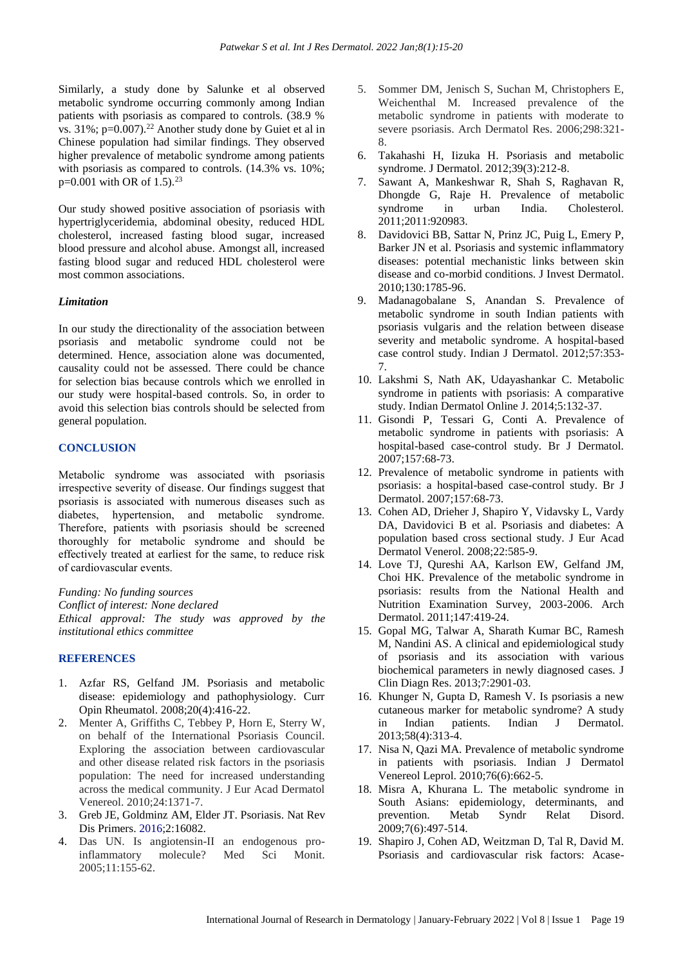Similarly, a study done by Salunke et al observed metabolic syndrome occurring commonly among Indian patients with psoriasis as compared to controls. (38.9 % vs.  $31\%$ ; p=0.007).<sup>22</sup> Another study done by Guiet et al in Chinese population had similar findings. They observed higher prevalence of metabolic syndrome among patients with psoriasis as compared to controls. (14.3% vs. 10%;  $p=0.001$  with OR of 1.5).<sup>23</sup>

Our study showed positive association of psoriasis with hypertriglyceridemia, abdominal obesity, reduced HDL cholesterol, increased fasting blood sugar, increased blood pressure and alcohol abuse. Amongst all, increased fasting blood sugar and reduced HDL cholesterol were most common associations.

#### *Limitation*

In our study the directionality of the association between psoriasis and metabolic syndrome could not be determined. Hence, association alone was documented, causality could not be assessed. There could be chance for selection bias because controls which we enrolled in our study were hospital-based controls. So, in order to avoid this selection bias controls should be selected from general population.

# **CONCLUSION**

Metabolic syndrome was associated with psoriasis irrespective severity of disease. Our findings suggest that psoriasis is associated with numerous diseases such as diabetes, hypertension, and metabolic syndrome. Therefore, patients with psoriasis should be screened thoroughly for metabolic syndrome and should be effectively treated at earliest for the same, to reduce risk of cardiovascular events.

*Funding: No funding sources Conflict of interest: None declared Ethical approval: The study was approved by the institutional ethics committee*

# **REFERENCES**

- 1. Azfar RS, Gelfand JM. Psoriasis and metabolic disease: epidemiology and pathophysiology. Curr Opin Rheumatol. 2008;20(4):416-22.
- 2. Menter A, Griffiths C, Tebbey P, Horn E, Sterry W, on behalf of the International Psoriasis Council. Exploring the association between cardiovascular and other disease related risk factors in the psoriasis population: The need for increased understanding across the medical community. J Eur Acad Dermatol Venereol. 2010;24:1371-7.
- 3. Greb JE, Goldminz AM, Elder JT. Psoriasis. Nat Rev Dis Primers. 2016;2:16082.
- 4. Das UN. Is angiotensin-II an endogenous proinflammatory molecule? Med Sci Monit. 2005;11:155-62.
- 5. Sommer DM, Jenisch S, Suchan M, Christophers E, Weichenthal M. Increased prevalence of the metabolic syndrome in patients with moderate to severe psoriasis. Arch Dermatol Res. 2006;298:321- 8.
- 6. Takahashi H, Iizuka H. Psoriasis and metabolic syndrome. J Dermatol. 2012;39(3):212-8.
- 7. Sawant A, Mankeshwar R, Shah S, Raghavan R, Dhongde G, Raje H. Prevalence of metabolic syndrome in urban India. Cholesterol. 2011;2011:920983.
- 8. Davidovici BB, Sattar N, Prinz JC, Puig L, Emery P, Barker JN et al. Psoriasis and systemic inflammatory diseases: potential mechanistic links between skin disease and co-morbid conditions. J Invest Dermatol. 2010;130:1785-96.
- 9. Madanagobalane S, Anandan S. Prevalence of metabolic syndrome in south Indian patients with psoriasis vulgaris and the relation between disease severity and metabolic syndrome. A hospital-based case control study. Indian J Dermatol. 2012;57:353- 7.
- 10. Lakshmi S, Nath AK, Udayashankar C. Metabolic syndrome in patients with psoriasis: A comparative study. Indian Dermatol Online J. 2014;5:132-37.
- 11. Gisondi P, Tessari G, Conti A. Prevalence of metabolic syndrome in patients with psoriasis: A hospital-based case-control study. Br J Dermatol. 2007;157:68-73.
- 12. Prevalence of metabolic syndrome in patients with psoriasis: a hospital-based case-control study. Br J Dermatol. 2007;157:68-73.
- 13. Cohen AD, Drieher J, Shapiro Y, Vidavsky L, Vardy DA, Davidovici B et al. Psoriasis and diabetes: A population based cross sectional study. J Eur Acad Dermatol Venerol. 2008;22:585-9.
- 14. Love TJ, Qureshi AA, Karlson EW, Gelfand JM, Choi HK. Prevalence of the metabolic syndrome in psoriasis: results from the National Health and Nutrition Examination Survey, 2003-2006. Arch Dermatol. 2011;147:419-24.
- 15. Gopal MG, Talwar A, Sharath Kumar BC, Ramesh M, Nandini AS. A clinical and epidemiological study of psoriasis and its association with various biochemical parameters in newly diagnosed cases. J Clin Diagn Res. 2013;7:2901-03.
- 16. Khunger N, Gupta D, Ramesh V. Is psoriasis a new cutaneous marker for metabolic syndrome? A study in Indian patients. Indian J Dermatol. 2013;58(4):313-4.
- 17. Nisa N, Qazi MA. Prevalence of metabolic syndrome in patients with psoriasis. Indian J Dermatol Venereol Leprol. 2010;76(6):662-5.
- 18. Misra A, Khurana L. The metabolic syndrome in South Asians: epidemiology, determinants, and prevention. Metab Syndr Relat Disord. 2009;7(6):497-514.
- 19. Shapiro J, Cohen AD, Weitzman D, Tal R, David M. Psoriasis and cardiovascular risk factors: Acase-